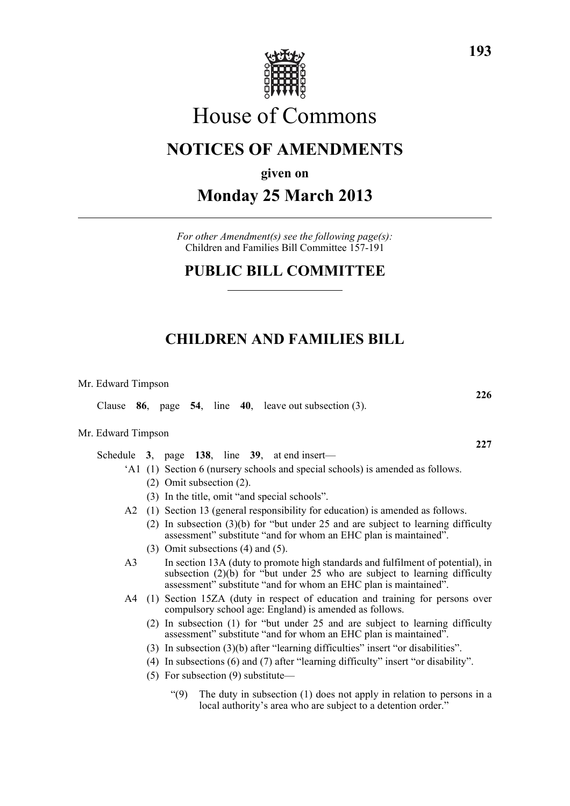

# House of Commons

# **NOTICES OF AMENDMENTS**

**given on**

# **Monday 25 March 2013**

*For other Amendment(s) see the following page(s):* Children and Families Bill Committee 157-191

# **PUBLIC BILL COMMITTEE**

# **CHILDREN AND FAMILIES BILL**

Mr. Edward Timpson

Clause **86**, page **54**, line **40**, leave out subsection (3).

#### Mr. Edward Timpson

Schedule **3**, page **138**, line **39**, at end insert—

- 'A1 (1) Section 6 (nursery schools and special schools) is amended as follows.
	- (2) Omit subsection (2).
	- (3) In the title, omit "and special schools".
- A2 (1) Section 13 (general responsibility for education) is amended as follows.
	- (2) In subsection (3)(b) for "but under 25 and are subject to learning difficulty assessment" substitute "and for whom an EHC plan is maintained".
	- (3) Omit subsections (4) and (5).
- A3 In section 13A (duty to promote high standards and fulfilment of potential), in subsection (2)(b) for "but under 25 who are subject to learning difficulty assessment" substitute "and for whom an EHC plan is maintained".
- A4 (1) Section 15ZA (duty in respect of education and training for persons over compulsory school age: England) is amended as follows.
	- (2) In subsection (1) for "but under 25 and are subject to learning difficulty assessment" substitute "and for whom an EHC plan is maintained".
	- (3) In subsection (3)(b) after "learning difficulties" insert "or disabilities".
	- (4) In subsections (6) and (7) after "learning difficulty" insert "or disability".
	- (5) For subsection (9) substitute—
		- " $(9)$  The duty in subsection  $(1)$  does not apply in relation to persons in a local authority's area who are subject to a detention order."

**227**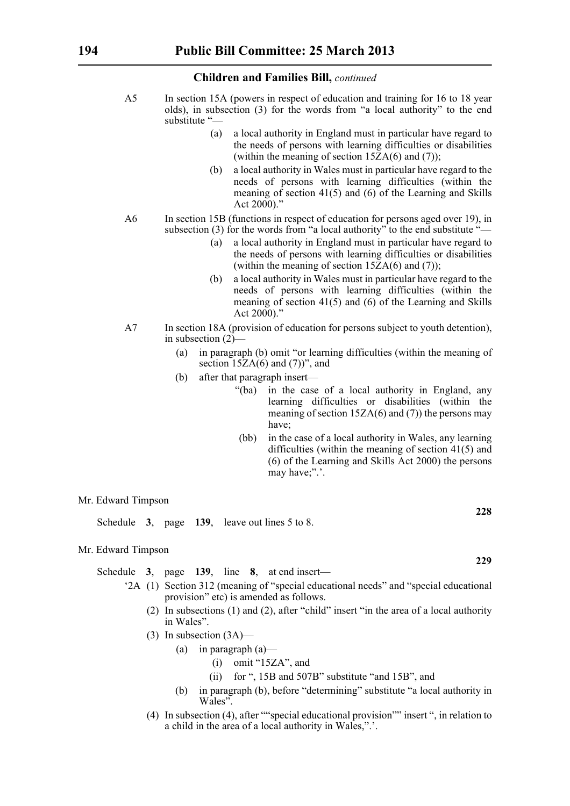- A5 In section 15A (powers in respect of education and training for 16 to 18 year olds), in subsection (3) for the words from "a local authority" to the end substitute "—
	- (a) a local authority in England must in particular have regard to the needs of persons with learning difficulties or disabilities (within the meaning of section  $15ZA(6)$  and (7));
	- (b) a local authority in Wales must in particular have regard to the needs of persons with learning difficulties (within the meaning of section 41(5) and (6) of the Learning and Skills Act 2000)."
- A6 In section 15B (functions in respect of education for persons aged over 19), in subsection (3) for the words from "a local authority" to the end substitute "-
	- (a) a local authority in England must in particular have regard to the needs of persons with learning difficulties or disabilities (within the meaning of section  $15ZA(6)$  and  $(7)$ );
	- (b) a local authority in Wales must in particular have regard to the needs of persons with learning difficulties (within the meaning of section 41(5) and (6) of the Learning and Skills Act 2000)."
- A7 In section 18A (provision of education for persons subject to youth detention), in subsection (2)—
	- (a) in paragraph (b) omit "or learning difficulties (within the meaning of section  $15ZA(6)$  and  $(7)$ ", and
	- (b) after that paragraph insert—
		- "(ba) in the case of a local authority in England, any learning difficulties or disabilities (within the meaning of section  $15ZA(6)$  and (7)) the persons may have;
		- (bb) in the case of a local authority in Wales, any learning difficulties (within the meaning of section 41(5) and (6) of the Learning and Skills Act 2000) the persons may have;".'.

Mr. Edward Timpson

Schedule **3**, page **139**, leave out lines 5 to 8.

#### Mr. Edward Timpson

Schedule **3**, page **139**, line **8**, at end insert—

- '2A (1) Section 312 (meaning of "special educational needs" and "special educational provision" etc) is amended as follows.
	- (2) In subsections (1) and (2), after "child" insert "in the area of a local authority in Wales".
	- (3) In subsection (3A)—
		- (a) in paragraph  $(a)$ 
			- (i) omit "15ZA", and
			- (ii) for ", 15B and 507B" substitute "and 15B", and
		- (b) in paragraph (b), before "determining" substitute "a local authority in Wales".
	- (4) In subsection (4), after ""special educational provision"" insert ", in relation to a child in the area of a local authority in Wales,".'.

**228**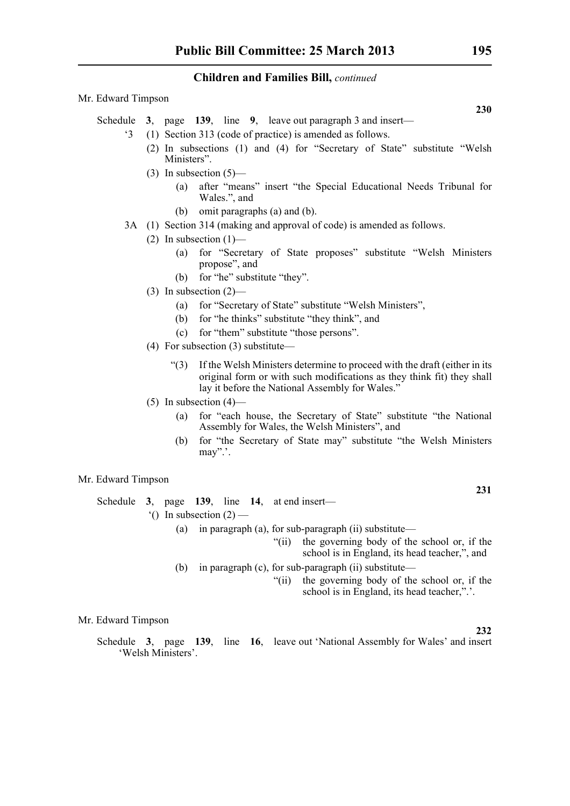#### Mr. Edward Timpson

- Schedule **3**, page **139**, line **9**, leave out paragraph 3 and insert—
	- '3 (1) Section 313 (code of practice) is amended as follows.
		- (2) In subsections (1) and (4) for "Secretary of State" substitute "Welsh Ministers".
		- (3) In subsection  $(5)$ 
			- (a) after "means" insert "the Special Educational Needs Tribunal for Wales.", and
			- (b) omit paragraphs (a) and (b).
	- 3A (1) Section 314 (making and approval of code) is amended as follows.
		- (2) In subsection  $(1)$ 
			- (a) for "Secretary of State proposes" substitute "Welsh Ministers propose", and
			- (b) for "he" substitute "they".
		- (3) In subsection  $(2)$ 
			- (a) for "Secretary of State" substitute "Welsh Ministers",
			- (b) for "he thinks" substitute "they think", and
			- (c) for "them" substitute "those persons".
		- (4) For subsection (3) substitute—
			- "(3) If the Welsh Ministers determine to proceed with the draft (either in its original form or with such modifications as they think fit) they shall lay it before the National Assembly for Wales."
		- $(5)$  In subsection  $(4)$ 
			- (a) for "each house, the Secretary of State" substitute "the National Assembly for Wales, the Welsh Ministers", and
			- (b) for "the Secretary of State may" substitute "the Welsh Ministers may".'.

#### Mr. Edward Timpson

|                                   |                                                          |  |  |  |  | Schedule 3, page 139, line 14, at end insert— |  |  |  |
|-----------------------------------|----------------------------------------------------------|--|--|--|--|-----------------------------------------------|--|--|--|
| $^{\circ}$ () In subsection (2) — |                                                          |  |  |  |  |                                               |  |  |  |
|                                   | (a) in paragraph (a), for sub-paragraph (ii) substitute— |  |  |  |  |                                               |  |  |  |

"(ii) the governing body of the school or, if the school is in England, its head teacher,", and

- (b) in paragraph (c), for sub-paragraph (ii) substitute—
	- "(ii) the governing body of the school or, if the school is in England, its head teacher,".'.

Mr. Edward Timpson

Schedule **3**, page **139**, line **16**, leave out 'National Assembly for Wales' and insert 'Welsh Ministers'.

**230**

#### **232**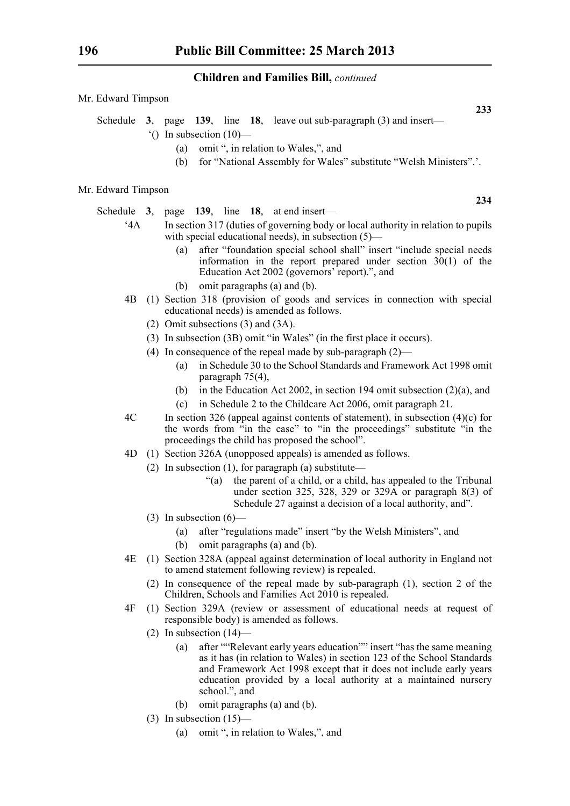- Schedule **3**, page **139**, line **18**, leave out sub-paragraph (3) and insert—
	- $^{\circ}$ () In subsection (10)—
		- (a) omit ", in relation to Wales,", and
		- (b) for "National Assembly for Wales" substitute "Welsh Ministers".'.

#### Mr. Edward Timpson

Schedule **3**, page **139**, line **18**, at end insert—

- '4A In section 317 (duties of governing body or local authority in relation to pupils with special educational needs), in subsection (5)—
	- (a) after "foundation special school shall" insert "include special needs information in the report prepared under section  $30(1)$  of the Education Act 2002 (governors' report).", and
	- (b) omit paragraphs (a) and (b).
- 4B (1) Section 318 (provision of goods and services in connection with special educational needs) is amended as follows.
	- (2) Omit subsections (3) and (3A).
	- (3) In subsection (3B) omit "in Wales" (in the first place it occurs).
	- (4) In consequence of the repeal made by sub-paragraph (2)—
		- (a) in Schedule 30 to the School Standards and Framework Act 1998 omit paragraph 75(4),
		- (b) in the Education Act 2002, in section 194 omit subsection (2)(a), and
		- (c) in Schedule 2 to the Childcare Act 2006, omit paragraph 21.
- 4C In section 326 (appeal against contents of statement), in subsection (4)(c) for the words from "in the case" to "in the proceedings" substitute "in the proceedings the child has proposed the school".
- 4D (1) Section 326A (unopposed appeals) is amended as follows.
	- (2) In subsection  $(1)$ , for paragraph  $(a)$  substitute—
		- "(a) the parent of a child, or a child, has appealed to the Tribunal under section 325, 328, 329 or 329A or paragraph 8(3) of Schedule 27 against a decision of a local authority, and".
	- (3) In subsection  $(6)$ 
		- (a) after "regulations made" insert "by the Welsh Ministers", and
		- (b) omit paragraphs (a) and (b).
- 4E (1) Section 328A (appeal against determination of local authority in England not to amend statement following review) is repealed.
	- (2) In consequence of the repeal made by sub-paragraph (1), section 2 of the Children, Schools and Families Act 2010 is repealed.
- 4F (1) Section 329A (review or assessment of educational needs at request of responsible body) is amended as follows.
	- (2) In subsection  $(14)$ 
		- (a) after ""Relevant early years education"" insert "has the same meaning as it has (in relation to Wales) in section 123 of the School Standards and Framework Act 1998 except that it does not include early years education provided by a local authority at a maintained nursery school.", and
		- (b) omit paragraphs (a) and (b).
	- (3) In subsection  $(15)$ 
		- (a) omit ", in relation to Wales,", and

**234**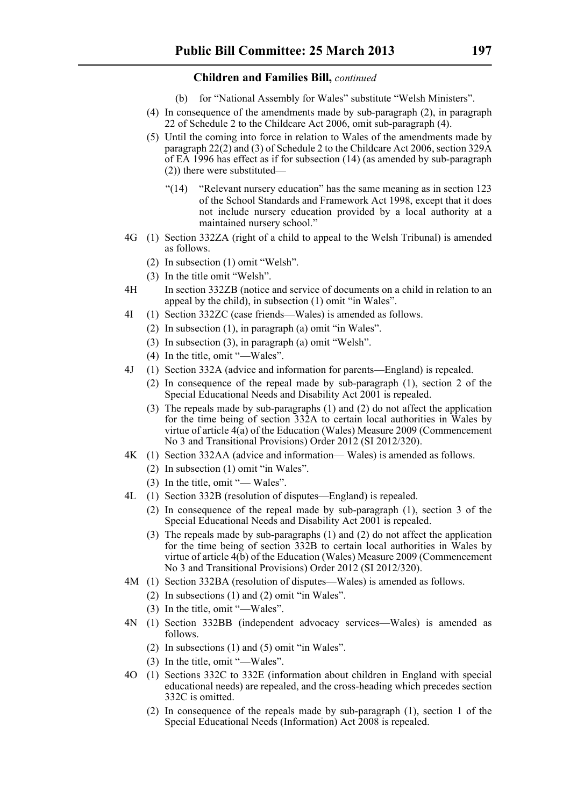- (b) for "National Assembly for Wales" substitute "Welsh Ministers".
- (4) In consequence of the amendments made by sub-paragraph (2), in paragraph 22 of Schedule 2 to the Childcare Act 2006, omit sub-paragraph (4).
- (5) Until the coming into force in relation to Wales of the amendments made by paragraph 22(2) and (3) of Schedule 2 to the Childcare Act 2006, section 329A of EA 1996 has effect as if for subsection (14) (as amended by sub-paragraph (2)) there were substituted—
	- "(14) "Relevant nursery education" has the same meaning as in section 123 of the School Standards and Framework Act 1998, except that it does not include nursery education provided by a local authority at a maintained nursery school."
- 4G (1) Section 332ZA (right of a child to appeal to the Welsh Tribunal) is amended as follows.
	- (2) In subsection (1) omit "Welsh".
	- (3) In the title omit "Welsh".
- 4H In section 332ZB (notice and service of documents on a child in relation to an appeal by the child), in subsection (1) omit "in Wales".
- 4I (1) Section 332ZC (case friends—Wales) is amended as follows.
	- (2) In subsection (1), in paragraph (a) omit "in Wales".
	- (3) In subsection (3), in paragraph (a) omit "Welsh".
	- (4) In the title, omit "—Wales".
- 4J (1) Section 332A (advice and information for parents—England) is repealed.
	- (2) In consequence of the repeal made by sub-paragraph (1), section 2 of the Special Educational Needs and Disability Act 2001 is repealed.
	- (3) The repeals made by sub-paragraphs (1) and (2) do not affect the application for the time being of section 332A to certain local authorities in Wales by virtue of article 4(a) of the Education (Wales) Measure 2009 (Commencement No 3 and Transitional Provisions) Order 2012 (SI 2012/320).
- 4K (1) Section 332AA (advice and information— Wales) is amended as follows.
	- (2) In subsection (1) omit "in Wales".
	- (3) In the title, omit "— Wales".
- 4L (1) Section 332B (resolution of disputes—England) is repealed.
	- (2) In consequence of the repeal made by sub-paragraph (1), section 3 of the Special Educational Needs and Disability Act 2001 is repealed.
	- (3) The repeals made by sub-paragraphs (1) and (2) do not affect the application for the time being of section 332B to certain local authorities in Wales by virtue of article 4(b) of the Education (Wales) Measure 2009 (Commencement No 3 and Transitional Provisions) Order 2012 (SI 2012/320).
- 4M (1) Section 332BA (resolution of disputes—Wales) is amended as follows.
	- (2) In subsections (1) and (2) omit "in Wales".
	- (3) In the title, omit "—Wales".
- 4N (1) Section 332BB (independent advocacy services—Wales) is amended as follows.
	- (2) In subsections (1) and (5) omit "in Wales".
	- (3) In the title, omit "—Wales".
- 4O (1) Sections 332C to 332E (information about children in England with special educational needs) are repealed, and the cross-heading which precedes section 332C is omitted.
	- (2) In consequence of the repeals made by sub-paragraph (1), section 1 of the Special Educational Needs (Information) Act 2008 is repealed.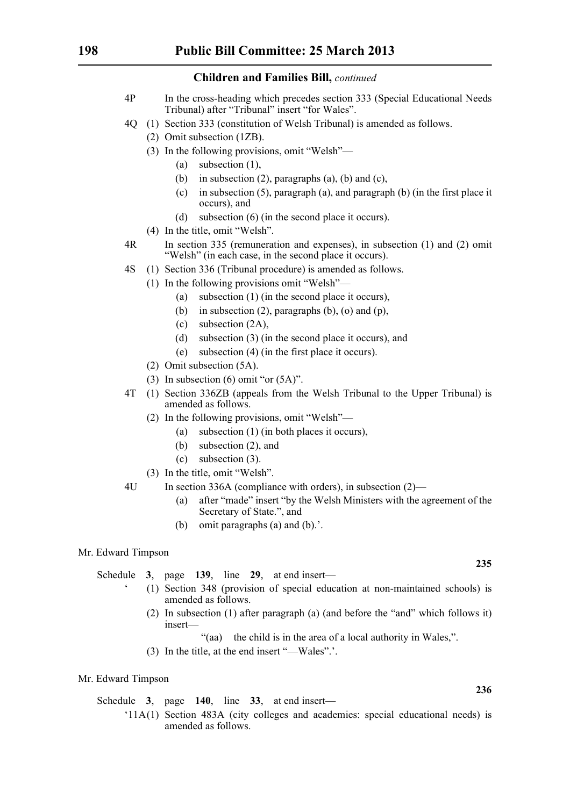- 4P In the cross-heading which precedes section 333 (Special Educational Needs Tribunal) after "Tribunal" insert "for Wales".
- 4Q (1) Section 333 (constitution of Welsh Tribunal) is amended as follows.
	- (2) Omit subsection (1ZB).
	- (3) In the following provisions, omit "Welsh"—
		- (a) subsection (1),
		- (b) in subsection  $(2)$ , paragraphs  $(a)$ ,  $(b)$  and  $(c)$ ,
		- (c) in subsection (5), paragraph (a), and paragraph (b) (in the first place it occurs), and
		- (d) subsection (6) (in the second place it occurs).
	- (4) In the title, omit "Welsh".
- 4R In section 335 (remuneration and expenses), in subsection (1) and (2) omit "Welsh" (in each case, in the second place it occurs).
- 4S (1) Section 336 (Tribunal procedure) is amended as follows.
	- (1) In the following provisions omit "Welsh"—
		- (a) subsection (1) (in the second place it occurs),
		- (b) in subsection (2), paragraphs (b), (o) and (p),
		- (c) subsection (2A),
		- (d) subsection (3) (in the second place it occurs), and
		- (e) subsection (4) (in the first place it occurs).
		- (2) Omit subsection (5A).
	- (3) In subsection  $(6)$  omit "or  $(5A)$ ".
- 4T (1) Section 336ZB (appeals from the Welsh Tribunal to the Upper Tribunal) is amended as follows.
	- (2) In the following provisions, omit "Welsh"—
		- (a) subsection (1) (in both places it occurs),
		- (b) subsection (2), and
		- (c) subsection (3).
	- (3) In the title, omit "Welsh".
- 4U In section 336A (compliance with orders), in subsection (2)—
	- (a) after "made" insert "by the Welsh Ministers with the agreement of the Secretary of State.", and
	- (b) omit paragraphs (a) and (b).'.

#### Mr. Edward Timpson

Schedule **3**, page **139**, line **29**, at end insert—

- ' (1) Section 348 (provision of special education at non-maintained schools) is amended as follows.
- (2) In subsection (1) after paragraph (a) (and before the "and" which follows it) insert—

"(aa) the child is in the area of a local authority in Wales,".

(3) In the title, at the end insert "—Wales".'.

#### Mr. Edward Timpson

Schedule **3**, page **140**, line **33**, at end insert—

'11A(1) Section 483A (city colleges and academies: special educational needs) is amended as follows.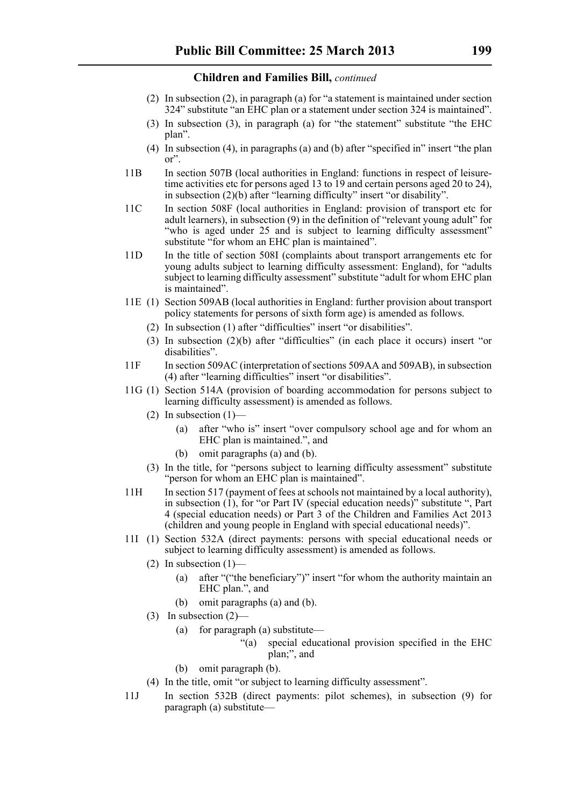- (2) In subsection (2), in paragraph (a) for "a statement is maintained under section 324" substitute "an EHC plan or a statement under section 324 is maintained".
- (3) In subsection (3), in paragraph (a) for "the statement" substitute "the EHC plan".
- (4) In subsection (4), in paragraphs (a) and (b) after "specified in" insert "the plan or".
- 11B In section 507B (local authorities in England: functions in respect of leisuretime activities etc for persons aged 13 to 19 and certain persons aged 20 to 24), in subsection (2)(b) after "learning difficulty" insert "or disability".
- 11C In section 508F (local authorities in England: provision of transport etc for adult learners), in subsection (9) in the definition of "relevant young adult" for "who is aged under 25 and is subject to learning difficulty assessment" substitute "for whom an EHC plan is maintained".
- 11D In the title of section 508I (complaints about transport arrangements etc for young adults subject to learning difficulty assessment: England), for "adults subject to learning difficulty assessment" substitute "adult for whom EHC plan is maintained".
- 11E (1) Section 509AB (local authorities in England: further provision about transport policy statements for persons of sixth form age) is amended as follows.
	- (2) In subsection (1) after "difficulties" insert "or disabilities".
	- (3) In subsection (2)(b) after "difficulties" (in each place it occurs) insert "or disabilities".
- 11F In section 509AC (interpretation of sections 509AA and 509AB), in subsection (4) after "learning difficulties" insert "or disabilities".
- 11G (1) Section 514A (provision of boarding accommodation for persons subject to learning difficulty assessment) is amended as follows.
	- (2) In subsection  $(1)$ 
		- (a) after "who is" insert "over compulsory school age and for whom an EHC plan is maintained.", and
		- (b) omit paragraphs (a) and (b).
	- (3) In the title, for "persons subject to learning difficulty assessment" substitute "person for whom an EHC plan is maintained".
- 11H In section 517 (payment of fees at schools not maintained by a local authority), in subsection  $(1)$ , for "or Part IV (special education needs)" substitute ", Part 4 (special education needs) or Part 3 of the Children and Families Act 2013 (children and young people in England with special educational needs)".
- 11I (1) Section 532A (direct payments: persons with special educational needs or subject to learning difficulty assessment) is amended as follows.
	- $(2)$  In subsection  $(1)$ 
		- (a) after "("the beneficiary")" insert "for whom the authority maintain an EHC plan.", and
		- (b) omit paragraphs (a) and (b).
	- (3) In subsection (2)—
		- (a) for paragraph (a) substitute—
			- "(a) special educational provision specified in the EHC plan;", and
		- (b) omit paragraph (b).
	- (4) In the title, omit "or subject to learning difficulty assessment".
- 11J In section 532B (direct payments: pilot schemes), in subsection (9) for paragraph (a) substitute—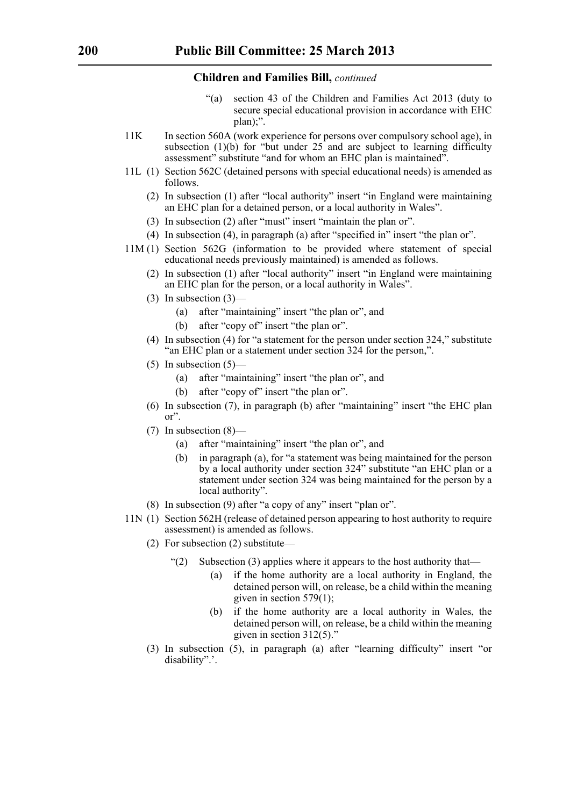- "(a) section 43 of the Children and Families Act 2013 (duty to secure special educational provision in accordance with EHC plan);".
- 11K In section 560A (work experience for persons over compulsory school age), in subsection (1)(b) for "but under  $25$  and are subject to learning difficulty assessment" substitute "and for whom an EHC plan is maintained".
- 11L (1) Section 562C (detained persons with special educational needs) is amended as follows.
	- (2) In subsection (1) after "local authority" insert "in England were maintaining an EHC plan for a detained person, or a local authority in Wales".
	- (3) In subsection (2) after "must" insert "maintain the plan or".
	- (4) In subsection (4), in paragraph (a) after "specified in" insert "the plan or".
- 11M (1) Section 562G (information to be provided where statement of special educational needs previously maintained) is amended as follows.
	- (2) In subsection (1) after "local authority" insert "in England were maintaining an EHC plan for the person, or a local authority in Wales".
	- (3) In subsection (3)—
		- (a) after "maintaining" insert "the plan or", and
		- (b) after "copy of" insert "the plan or".
	- (4) In subsection (4) for "a statement for the person under section 324," substitute "an EHC plan or a statement under section 324 for the person,".
	- $(5)$  In subsection  $(5)$ 
		- (a) after "maintaining" insert "the plan or", and
		- (b) after "copy of" insert "the plan or".
	- (6) In subsection (7), in paragraph (b) after "maintaining" insert "the EHC plan or".
	- (7) In subsection (8)—
		- (a) after "maintaining" insert "the plan or", and
		- (b) in paragraph (a), for "a statement was being maintained for the person by a local authority under section 324" substitute "an EHC plan or a statement under section 324 was being maintained for the person by a local authority".
	- (8) In subsection (9) after "a copy of any" insert "plan or".
- 11N (1) Section 562H (release of detained person appearing to host authority to require assessment) is amended as follows.
	- (2) For subsection (2) substitute—
		- "(2) Subsection (3) applies where it appears to the host authority that—
			- (a) if the home authority are a local authority in England, the detained person will, on release, be a child within the meaning given in section 579(1);
			- (b) if the home authority are a local authority in Wales, the detained person will, on release, be a child within the meaning given in section 312(5)."
	- (3) In subsection (5), in paragraph (a) after "learning difficulty" insert "or disability".'.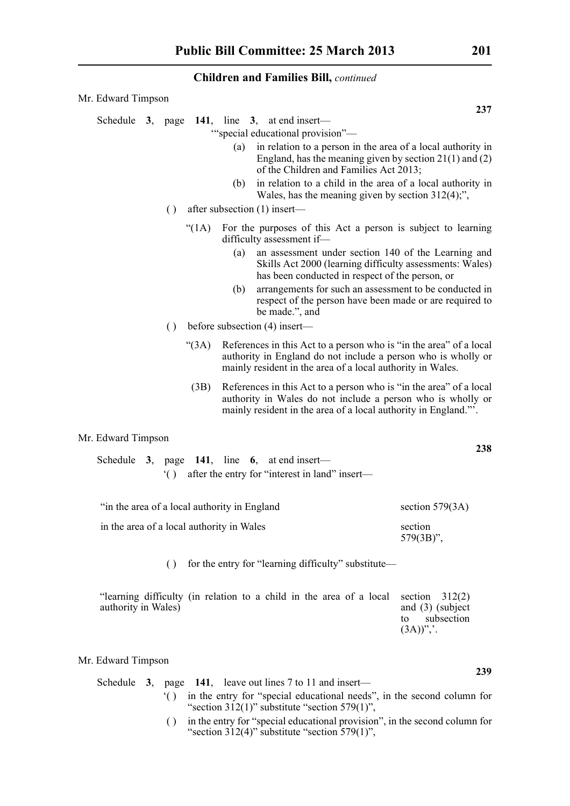| Mr. Edward Timpson                                               |                                                                                                                                                                                                                                                                                                                                                                                                                                                                                                                             |                   |  |  |
|------------------------------------------------------------------|-----------------------------------------------------------------------------------------------------------------------------------------------------------------------------------------------------------------------------------------------------------------------------------------------------------------------------------------------------------------------------------------------------------------------------------------------------------------------------------------------------------------------------|-------------------|--|--|
| Schedule 3, page 141, line 3, at end insert-<br>$\left( \right)$ | "special educational provision"-<br>in relation to a person in the area of a local authority in<br>(a)<br>England, has the meaning given by section $21(1)$ and (2)<br>of the Children and Families Act 2013;<br>in relation to a child in the area of a local authority in<br>(b)<br>Wales, has the meaning given by section $312(4)$ ;",<br>after subsection (1) insert—                                                                                                                                                  | 237               |  |  |
| " $(1A)$<br>$\left( \right)$<br>(3A)                             | For the purposes of this Act a person is subject to learning<br>difficulty assessment if-<br>an assessment under section 140 of the Learning and<br>(a)<br>Skills Act 2000 (learning difficulty assessments: Wales)<br>has been conducted in respect of the person, or<br>arrangements for such an assessment to be conducted in<br>(b)<br>respect of the person have been made or are required to<br>be made.", and<br>before subsection (4) insert—<br>References in this Act to a person who is "in the area" of a local |                   |  |  |
| (3B)                                                             | authority in England do not include a person who is wholly or<br>mainly resident in the area of a local authority in Wales.<br>References in this Act to a person who is "in the area" of a local<br>authority in Wales do not include a person who is wholly or<br>mainly resident in the area of a local authority in England."                                                                                                                                                                                           |                   |  |  |
| Mr. Edward Timpson                                               |                                                                                                                                                                                                                                                                                                                                                                                                                                                                                                                             | 238               |  |  |
| Schedule $3$ ,<br>$^{\circ}$ ( )                                 | page 141, line 6, at end insert-<br>after the entry for "interest in land" insert-                                                                                                                                                                                                                                                                                                                                                                                                                                          |                   |  |  |
| "in the area of a local authority in England                     |                                                                                                                                                                                                                                                                                                                                                                                                                                                                                                                             | section $579(3A)$ |  |  |
| in the area of a local authority in Wales                        |                                                                                                                                                                                                                                                                                                                                                                                                                                                                                                                             | section           |  |  |

( ) for the entry for "learning difficulty" substitute—

| "learning difficulty (in relation to a child in the area of a local section $312(2)$ ) |  |  |  |  |  |                          |                    |
|----------------------------------------------------------------------------------------|--|--|--|--|--|--------------------------|--------------------|
| authority in Wales)                                                                    |  |  |  |  |  |                          | and $(3)$ (subject |
|                                                                                        |  |  |  |  |  |                          | to subsection      |
|                                                                                        |  |  |  |  |  | $(3A))^{\prime\prime}$ . |                    |

#### Mr. Edward Timpson

| Schedule $3$ , page 141, leave out lines 7 to 11 and insert— |  |                                                                           |  |  |  |  |
|--------------------------------------------------------------|--|---------------------------------------------------------------------------|--|--|--|--|
|                                                              |  | () in the entry for "special educational needs", in the second column for |  |  |  |  |
|                                                              |  | "section $312(1)$ " substitute "section $579(1)$ ",                       |  |  |  |  |
|                                                              |  |                                                                           |  |  |  |  |

( ) in the entry for "special educational provision", in the second column for "section  $312(4)$ " substitute "section  $579(1)$ ",

579(3B)",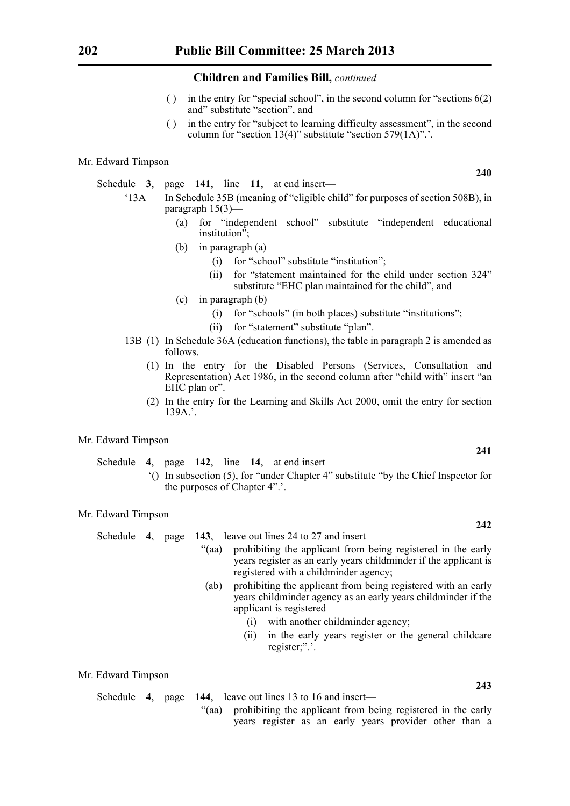- ( ) in the entry for "special school", in the second column for "sections 6(2) and" substitute "section", and
- ( ) in the entry for "subject to learning difficulty assessment", in the second column for "section 13(4)" substitute "section 579(1A)".'.

#### Mr. Edward Timpson

- Schedule **3**, page **141**, line **11**, at end insert—
	- '13A In Schedule 35B (meaning of "eligible child" for purposes of section 508B), in paragraph 15(3)—
		- (a) for "independent school" substitute "independent educational institution";
		- (b) in paragraph (a)—
			- (i) for "school" substitute "institution";
			- (ii) for "statement maintained for the child under section 324" substitute "EHC plan maintained for the child", and
		- $(c)$  in paragraph  $(b)$ 
			- (i) for "schools" (in both places) substitute "institutions";
			- (ii) for "statement" substitute "plan".
	- 13B (1) In Schedule 36A (education functions), the table in paragraph 2 is amended as follows.
		- (1) In the entry for the Disabled Persons (Services, Consultation and Representation) Act 1986, in the second column after "child with" insert "an EHC plan or".
		- (2) In the entry for the Learning and Skills Act 2000, omit the entry for section 139A.'.

#### Mr. Edward Timpson

Schedule **4**, page **142**, line **14**, at end insert—

'() In subsection (5), for "under Chapter 4" substitute "by the Chief Inspector for the purposes of Chapter 4".'.

#### Mr. Edward Timpson

Schedule **4**, page **143**, leave out lines 24 to 27 and insert—

- "(aa) prohibiting the applicant from being registered in the early years register as an early years childminder if the applicant is registered with a childminder agency;
- (ab) prohibiting the applicant from being registered with an early years childminder agency as an early years childminder if the applicant is registered—
	- (i) with another childminder agency;
	- (ii) in the early years register or the general childcare register;".'.

#### Mr. Edward Timpson

Schedule **4**, page **144**, leave out lines 13 to 16 and insert—

"(aa) prohibiting the applicant from being registered in the early years register as an early years provider other than a

**240**

**241**

#### **242**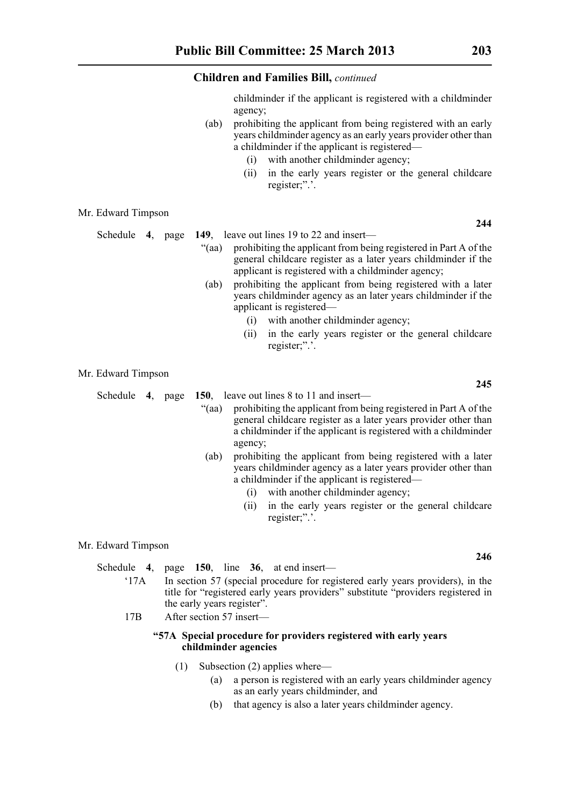childminder if the applicant is registered with a childminder agency;

- (ab) prohibiting the applicant from being registered with an early years childminder agency as an early years provider other than a childminder if the applicant is registered—
	- (i) with another childminder agency;
	- (ii) in the early years register or the general childcare register;".'.

#### Mr. Edward Timpson

- Schedule **4**, page **149**, leave out lines 19 to 22 and insert—
	- "(aa) prohibiting the applicant from being registered in Part A of the general childcare register as a later years childminder if the applicant is registered with a childminder agency;
	- (ab) prohibiting the applicant from being registered with a later years childminder agency as an later years childminder if the applicant is registered—
		- (i) with another childminder agency;
		- (ii) in the early years register or the general childcare register;".'.

Mr. Edward Timpson

Schedule **4**, page **150**, leave out lines 8 to 11 and insert—

- "(aa) prohibiting the applicant from being registered in Part A of the general childcare register as a later years provider other than a childminder if the applicant is registered with a childminder agency;
- (ab) prohibiting the applicant from being registered with a later years childminder agency as a later years provider other than a childminder if the applicant is registered—
	- (i) with another childminder agency;
	- (ii) in the early years register or the general childcare register;".'.

#### Mr. Edward Timpson

Schedule **4**, page **150**, line **36**, at end insert—

- '17A In section 57 (special procedure for registered early years providers), in the title for "registered early years providers" substitute "providers registered in the early years register".
- 17B After section 57 insert—

#### **"57A Special procedure for providers registered with early years childminder agencies**

- (1) Subsection (2) applies where—
	- (a) a person is registered with an early years childminder agency as an early years childminder, and
	- (b) that agency is also a later years childminder agency.

**245**

**246**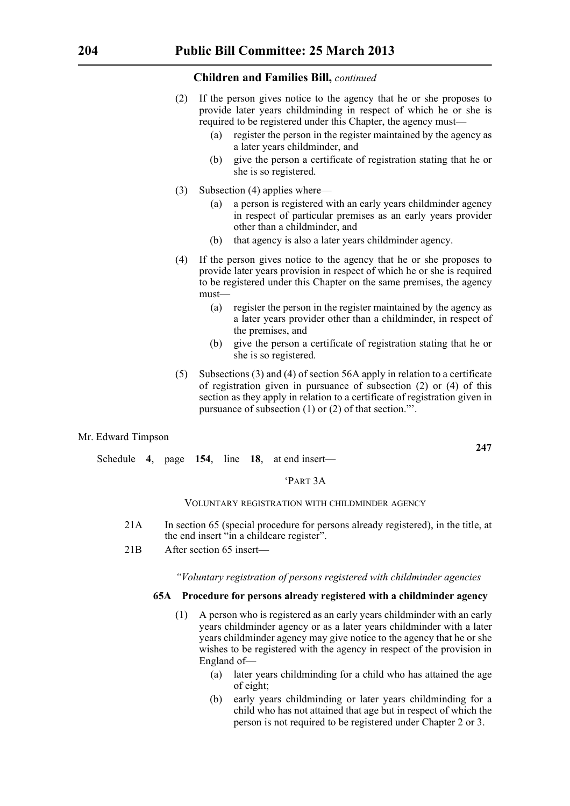- (2) If the person gives notice to the agency that he or she proposes to provide later years childminding in respect of which he or she is required to be registered under this Chapter, the agency must—
	- (a) register the person in the register maintained by the agency as a later years childminder, and
	- (b) give the person a certificate of registration stating that he or she is so registered.
- (3) Subsection (4) applies where—
	- (a) a person is registered with an early years childminder agency in respect of particular premises as an early years provider other than a childminder, and
	- (b) that agency is also a later years childminder agency.
- (4) If the person gives notice to the agency that he or she proposes to provide later years provision in respect of which he or she is required to be registered under this Chapter on the same premises, the agency must—
	- (a) register the person in the register maintained by the agency as a later years provider other than a childminder, in respect of the premises, and
	- (b) give the person a certificate of registration stating that he or she is so registered.
- (5) Subsections (3) and (4) of section 56A apply in relation to a certificate of registration given in pursuance of subsection (2) or (4) of this section as they apply in relation to a certificate of registration given in pursuance of subsection (1) or (2) of that section."'.

#### Mr. Edward Timpson

Schedule **4**, page **154**, line **18**, at end insert—

#### 'PART 3A

#### VOLUNTARY REGISTRATION WITH CHILDMINDER AGENCY

- 21A In section 65 (special procedure for persons already registered), in the title, at the end insert "in a childcare register".
- 21B After section 65 insert—

#### *"Voluntary registration of persons registered with childminder agencies*

#### **65A Procedure for persons already registered with a childminder agency**

- (1) A person who is registered as an early years childminder with an early years childminder agency or as a later years childminder with a later years childminder agency may give notice to the agency that he or she wishes to be registered with the agency in respect of the provision in England of—
	- (a) later years childminding for a child who has attained the age of eight;
	- (b) early years childminding or later years childminding for a child who has not attained that age but in respect of which the person is not required to be registered under Chapter 2 or 3.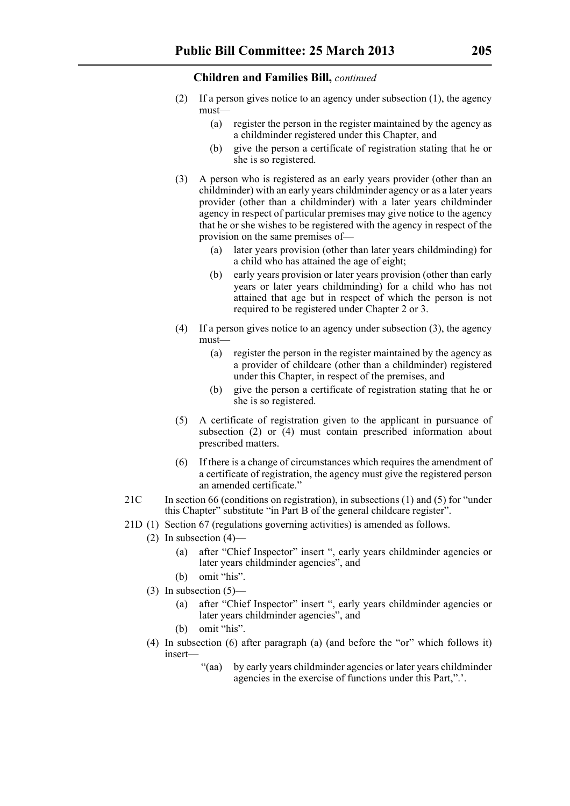- (2) If a person gives notice to an agency under subsection (1), the agency must—
	- (a) register the person in the register maintained by the agency as a childminder registered under this Chapter, and
	- (b) give the person a certificate of registration stating that he or she is so registered.
- (3) A person who is registered as an early years provider (other than an childminder) with an early years childminder agency or as a later years provider (other than a childminder) with a later years childminder agency in respect of particular premises may give notice to the agency that he or she wishes to be registered with the agency in respect of the provision on the same premises of—
	- (a) later years provision (other than later years childminding) for a child who has attained the age of eight;
	- (b) early years provision or later years provision (other than early years or later years childminding) for a child who has not attained that age but in respect of which the person is not required to be registered under Chapter 2 or 3.
- (4) If a person gives notice to an agency under subsection (3), the agency must—
	- (a) register the person in the register maintained by the agency as a provider of childcare (other than a childminder) registered under this Chapter, in respect of the premises, and
	- (b) give the person a certificate of registration stating that he or she is so registered.
- (5) A certificate of registration given to the applicant in pursuance of subsection (2) or (4) must contain prescribed information about prescribed matters.
- (6) If there is a change of circumstances which requires the amendment of a certificate of registration, the agency must give the registered person an amended certificate."
- 21C In section 66 (conditions on registration), in subsections (1) and (5) for "under this Chapter" substitute "in Part B of the general childcare register".
- 21D (1) Section 67 (regulations governing activities) is amended as follows.
	- (2) In subsection  $(4)$ 
		- (a) after "Chief Inspector" insert ", early years childminder agencies or later years childminder agencies", and
		- (b) omit "his".
	- (3) In subsection  $(5)$ 
		- (a) after "Chief Inspector" insert ", early years childminder agencies or later years childminder agencies", and
		- (b) omit "his".
	- (4) In subsection (6) after paragraph (a) (and before the "or" which follows it) insert—
		- "(aa) by early years childminder agencies or later years childminder agencies in the exercise of functions under this Part,".'.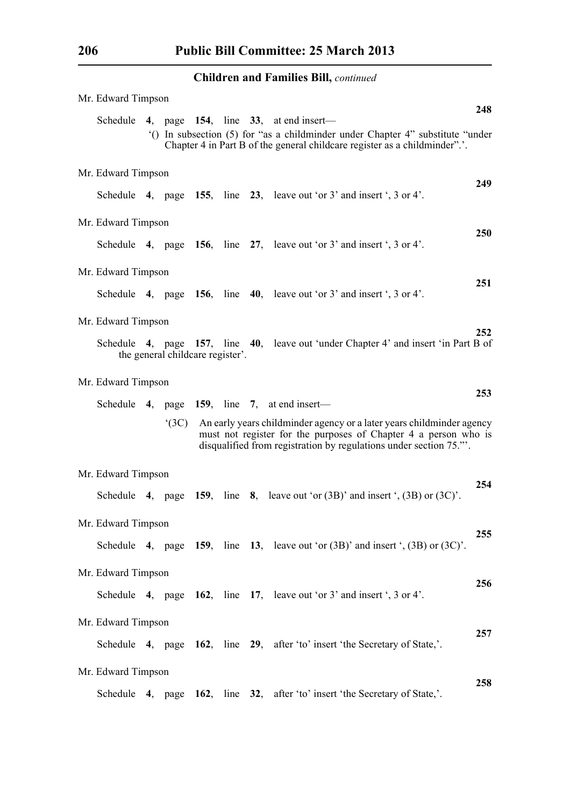| Mr. Edward Timpson |                                  |  |                                                                                                                                                                                                               | 248        |
|--------------------|----------------------------------|--|---------------------------------------------------------------------------------------------------------------------------------------------------------------------------------------------------------------|------------|
|                    |                                  |  | Schedule 4, page 154, line 33, at end insert—<br>() In subsection (5) for "as a childminder under Chapter 4" substitute "under<br>Chapter 4 in Part B of the general childcare register as a childminder"     |            |
| Mr. Edward Timpson |                                  |  |                                                                                                                                                                                                               |            |
|                    |                                  |  | Schedule 4, page 155, line 23, leave out 'or $3'$ and insert ', $3$ or $4'$ .                                                                                                                                 | 249        |
| Mr. Edward Timpson |                                  |  |                                                                                                                                                                                                               |            |
|                    |                                  |  | Schedule 4, page 156, line 27, leave out 'or 3' and insert ', 3 or 4'.                                                                                                                                        | <b>250</b> |
| Mr. Edward Timpson |                                  |  |                                                                                                                                                                                                               |            |
|                    |                                  |  | Schedule 4, page 156, line 40, leave out 'or $3'$ and insert ', $3$ or $4'$ .                                                                                                                                 | 251        |
| Mr. Edward Timpson |                                  |  |                                                                                                                                                                                                               |            |
|                    | the general childcare register'. |  | Schedule 4, page 157, line 40, leave out 'under Chapter 4' and insert 'in Part B of                                                                                                                           | 252        |
| Mr. Edward Timpson |                                  |  |                                                                                                                                                                                                               | 253        |
|                    |                                  |  | Schedule 4, page 159, line 7, at end insert—                                                                                                                                                                  |            |
|                    | (3C)                             |  | An early years childminder agency or a later years childminder agency<br>must not register for the purposes of Chapter 4 a person who is<br>disqualified from registration by regulations under section 75.". |            |
| Mr. Edward Timpson |                                  |  |                                                                                                                                                                                                               |            |
|                    |                                  |  | Schedule 4, page 159, line 8, leave out 'or $(3B)$ ' and insert ', $(3B)$ or $(3C)$ '.                                                                                                                        | 254        |
| Mr. Edward Timpson |                                  |  |                                                                                                                                                                                                               |            |
|                    |                                  |  | Schedule 4, page 159, line 13, leave out 'or $(3B)$ ' and insert ', $(3B)$ or $(3C)$ '.                                                                                                                       | 255        |
| Mr. Edward Timpson |                                  |  |                                                                                                                                                                                                               |            |
|                    |                                  |  | Schedule 4, page $162$ , line 17, leave out 'or 3' and insert ', 3 or 4'.                                                                                                                                     | 256        |
| Mr. Edward Timpson |                                  |  |                                                                                                                                                                                                               |            |
|                    |                                  |  | Schedule 4, page 162, line 29, after 'to' insert 'the Secretary of State,'.                                                                                                                                   | 257        |
| Mr. Edward Timpson |                                  |  |                                                                                                                                                                                                               |            |
|                    |                                  |  | Schedule 4, page 162, line 32, after 'to' insert 'the Secretary of State,'.                                                                                                                                   | 258        |